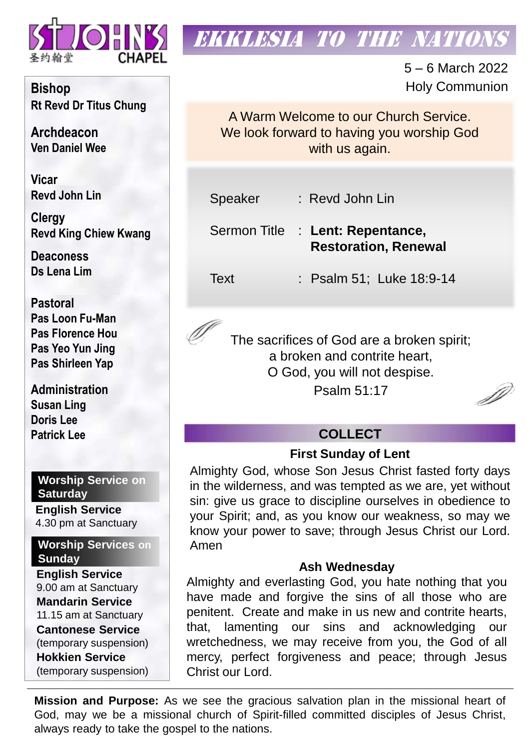

# **EKKLESIA TO THE NATION**

5 – 6 March 2022 Holy Communion

A Warm Welcome to our Church Service. We look forward to having you worship God with us again.

Speaker : Revd John Lin

Sermon Title : **Lent: Repentance, Restoration, Renewal**

Text : Psalm 51; Luke 18:9-14

The sacrifices of God are a broken spirit; a broken and contrite heart, O God, you will not despise. Psalm 51:17

D

# **COLLECT**

# **First Sunday of Lent**

Almighty God, whose Son Jesus Christ fasted forty days in the wilderness, and was tempted as we are, yet without sin: give us grace to discipline ourselves in obedience to your Spirit; and, as you know our weakness, so may we know your power to save; through Jesus Christ our Lord. Amen

# **Ash Wednesday**

Almighty and everlasting God, you hate nothing that you have made and forgive the sins of all those who are penitent. Create and make in us new and contrite hearts, that, lamenting our sins and acknowledging our wretchedness, we may receive from you, the God of all mercy, perfect forgiveness and peace; through Jesus Christ our Lord.

**Mission and Purpose:** As we see the gracious salvation plan in the missional heart of God, may we be a missional church of Spirit-filled committed disciples of Jesus Christ, always ready to take the gospel to the nations.

**Bishop Rt Revd Dr Titus Chung**

**Archdeacon Ven Daniel Wee**

**Vicar Revd John Lin** 

**Clergy Revd King Chiew Kwang**

**Deaconess Ds Lena Lim**

**Pastoral Pas Loon Fu-Man Pas Florence Hou Pas Yeo Yun Jing Pas Shirleen Yap**

**Administration Susan Ling Doris Lee Patrick Lee**

**Worship Service on Saturday**

**English Service**  4.30 pm at Sanctuary

**Worship Services on Sunday**

**English Service** 9.00 am at Sanctuary **Mandarin Service** 11.15 am at Sanctuary **Cantonese Service** (temporary suspension) **Hokkien Service** (temporary suspension)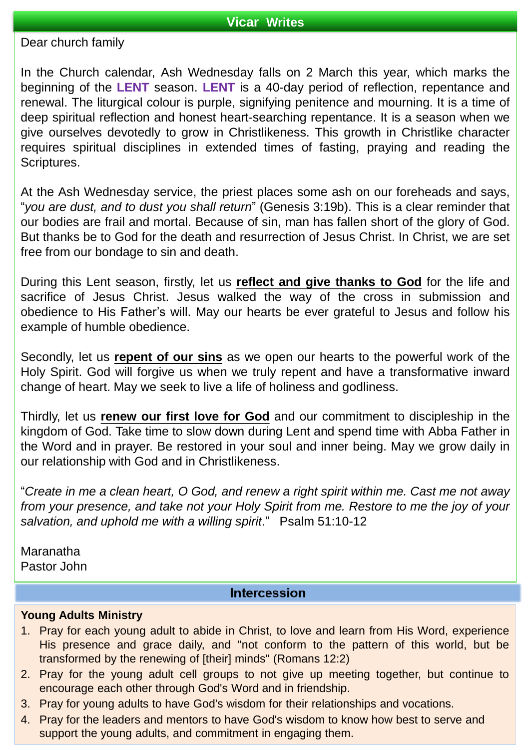## **Vicar Writes**

Dear church family

In the Church calendar, Ash Wednesday falls on 2 March this year, which marks the beginning of the **LENT** season. **LENT** is a 40-day period of reflection, repentance and renewal. The liturgical colour is purple, signifying penitence and mourning. It is a time of deep spiritual reflection and honest heart-searching repentance. It is a season when we give ourselves devotedly to grow in Christlikeness. This growth in Christlike character requires spiritual disciplines in extended times of fasting, praying and reading the Scriptures.

At the Ash Wednesday service, the priest places some ash on our foreheads and says, "*you are dust, and to dust you shall return*" (Genesis 3:19b). This is a clear reminder that our bodies are frail and mortal. Because of sin, man has fallen short of the glory of God. But thanks be to God for the death and resurrection of Jesus Christ. In Christ, we are set free from our bondage to sin and death.

During this Lent season, firstly, let us **reflect and give thanks to God** for the life and sacrifice of Jesus Christ. Jesus walked the way of the cross in submission and obedience to His Father's will. May our hearts be ever grateful to Jesus and follow his example of humble obedience.

Secondly, let us **repent of our sins** as we open our hearts to the powerful work of the Holy Spirit. God will forgive us when we truly repent and have a transformative inward change of heart. May we seek to live a life of holiness and godliness.

Thirdly, let us **renew our first love for God** and our commitment to discipleship in the kingdom of God. Take time to slow down during Lent and spend time with Abba Father in the Word and in prayer. Be restored in your soul and inner being. May we grow daily in our relationship with God and in Christlikeness.

"*Create in me a clean heart, O God, and renew a right spirit within me. Cast me not away from your presence, and take not your Holy Spirit from me. Restore to me the joy of your salvation, and uphold me with a willing spirit*." Psalm 51:10-12

Maranatha Pastor John

## **Intercession**

#### **Young Adults Ministry**

- 1. Pray for each young adult to abide in Christ, to love and learn from His Word, experience His presence and grace daily, and "not conform to the pattern of this world, but be transformed by the renewing of [their] minds" (Romans 12:2)
- 2. Pray for the young adult cell groups to not give up meeting together, but continue to encourage each other through God's Word and in friendship.
- 3. Pray for young adults to have God's wisdom for their relationships and vocations.
- 4. Pray for the leaders and mentors to have God's wisdom to know how best to serve and support the young adults, and commitment in engaging them.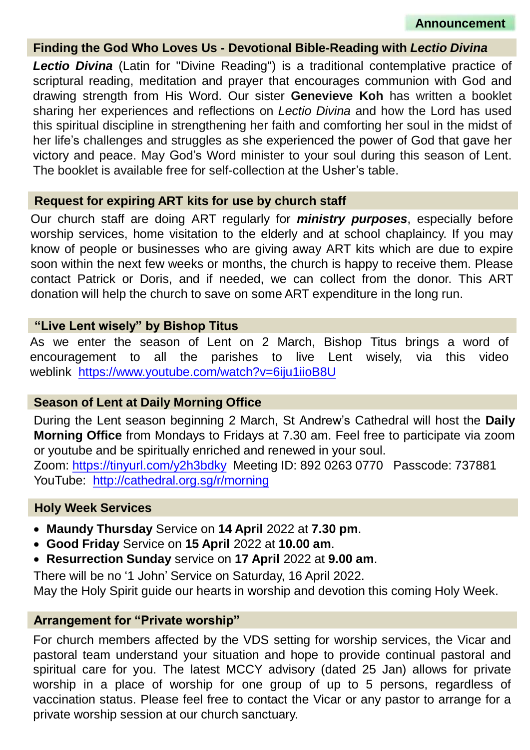#### **Finding the God Who Loves Us - Devotional Bible-Reading with** *Lectio Divina*

*Lectio Divina* (Latin for "Divine Reading") is a traditional contemplative practice of scriptural reading, meditation and prayer that encourages communion with God and drawing strength from His Word. Our sister **Genevieve Koh** has written a booklet sharing her experiences and reflections on *Lectio Divina* and how the Lord has used this spiritual discipline in strengthening her faith and comforting her soul in the midst of her life's challenges and struggles as she experienced the power of God that gave her victory and peace. May God's Word minister to your soul during this season of Lent. The booklet is available free for self-collection at the Usher's table.

#### **Request for expiring ART kits for use by church staff**

Our church staff are doing ART regularly for *ministry purposes*, especially before worship services, home visitation to the elderly and at school chaplaincy. If you may know of people or businesses who are giving away ART kits which are due to expire soon within the next few weeks or months, the church is happy to receive them. Please contact Patrick or Doris, and if needed, we can collect from the donor. This ART donation will help the church to save on some ART expenditure in the long run.

#### **"Live Lent wisely" by Bishop Titus**

As we enter the season of Lent on 2 March, Bishop Titus brings a word of encouragement to all the parishes to live Lent wisely, via this video weblink <https://www.youtube.com/watch?v=6iju1iioB8U>

## **Season of Lent at Daily Morning Office**

During the Lent season beginning 2 March, St Andrew's Cathedral will host the **Daily Morning Office** from Mondays to Fridays at 7.30 am. Feel free to participate via zoom or youtube and be spiritually enriched and renewed in your soul.

Zoom: <https://tinyurl.com/y2h3bdky> Meeting ID: 892 0263 0770 Passcode: 737881 YouTube: <http://cathedral.org.sg/r/morning>

#### **Holy Week Services**

- **Maundy Thursday** Service on **14 April** 2022 at **7.30 pm**.
- **Good Friday** Service on **15 April** 2022 at **10.00 am**.
- **Resurrection Sunday** service on **17 April** 2022 at **9.00 am**.

There will be no '1 John' Service on Saturday, 16 April 2022.

May the Holy Spirit guide our hearts in worship and devotion this coming Holy Week.

#### **Arrangement for "Private worship"**

For church members affected by the VDS setting for worship services, the Vicar and pastoral team understand your situation and hope to provide continual pastoral and spiritual care for you. The latest MCCY advisory (dated 25 Jan) allows for private worship in a place of worship for one group of up to 5 persons, regardless of vaccination status. Please feel free to contact the Vicar or any pastor to arrange for a private worship session at our church sanctuary.